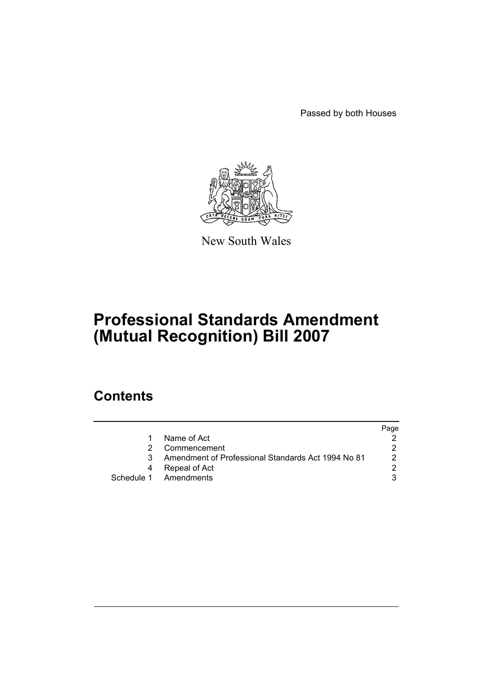Passed by both Houses



New South Wales

# **Professional Standards Amendment (Mutual Recognition) Bill 2007**

## **Contents**

|                                                    | Page |
|----------------------------------------------------|------|
| Name of Act                                        |      |
| Commencement                                       |      |
| Amendment of Professional Standards Act 1994 No 81 | 2    |
| Repeal of Act                                      | ◠    |
| Schedule 1 Amendments                              |      |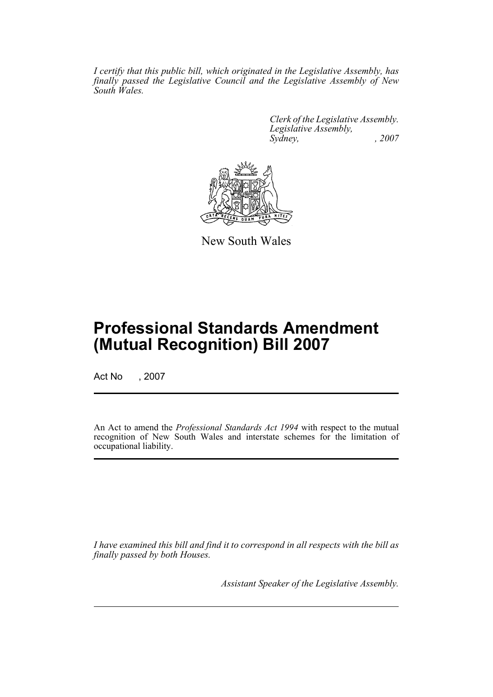*I certify that this public bill, which originated in the Legislative Assembly, has finally passed the Legislative Council and the Legislative Assembly of New South Wales.*

> *Clerk of the Legislative Assembly. Legislative Assembly, Sydney, , 2007*



New South Wales

## **Professional Standards Amendment (Mutual Recognition) Bill 2007**

Act No , 2007

An Act to amend the *Professional Standards Act 1994* with respect to the mutual recognition of New South Wales and interstate schemes for the limitation of occupational liability.

*I have examined this bill and find it to correspond in all respects with the bill as finally passed by both Houses.*

*Assistant Speaker of the Legislative Assembly.*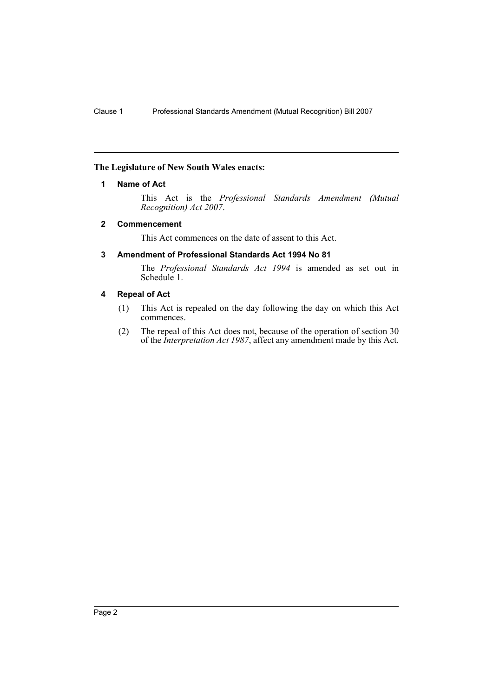#### <span id="page-2-0"></span>**The Legislature of New South Wales enacts:**

#### **1 Name of Act**

This Act is the *Professional Standards Amendment (Mutual Recognition) Act 2007*.

#### <span id="page-2-1"></span>**2 Commencement**

This Act commences on the date of assent to this Act.

#### <span id="page-2-2"></span>**3 Amendment of Professional Standards Act 1994 No 81**

The *Professional Standards Act 1994* is amended as set out in Schedule 1.

#### <span id="page-2-3"></span>**4 Repeal of Act**

- (1) This Act is repealed on the day following the day on which this Act commences.
- (2) The repeal of this Act does not, because of the operation of section 30 of the *Interpretation Act 1987*, affect any amendment made by this Act.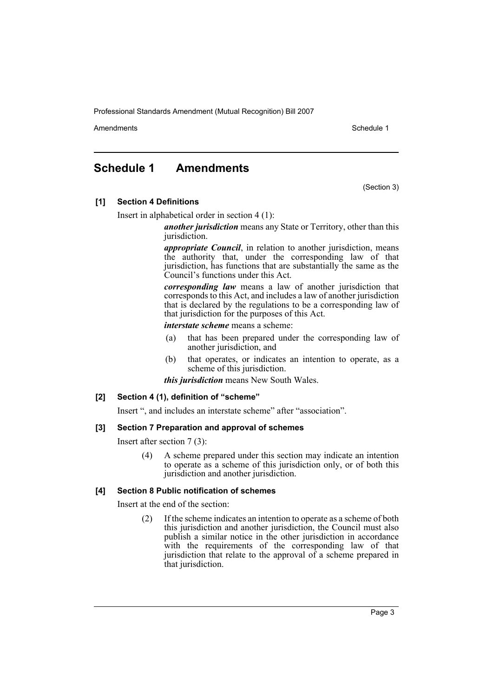Amendments **Amendments** Schedule 1

### <span id="page-3-0"></span>**Schedule 1 Amendments**

(Section 3)

**[1] Section 4 Definitions**

Insert in alphabetical order in section 4 (1):

*another jurisdiction* means any State or Territory, other than this jurisdiction.

*appropriate Council*, in relation to another jurisdiction, means the authority that, under the corresponding law of that jurisdiction, has functions that are substantially the same as the Council's functions under this Act.

*corresponding law* means a law of another jurisdiction that corresponds to this Act, and includes a law of another jurisdiction that is declared by the regulations to be a corresponding law of that jurisdiction for the purposes of this Act.

*interstate scheme* means a scheme:

- (a) that has been prepared under the corresponding law of another jurisdiction, and
- (b) that operates, or indicates an intention to operate, as a scheme of this jurisdiction.

*this jurisdiction* means New South Wales.

#### **[2] Section 4 (1), definition of "scheme"**

Insert ", and includes an interstate scheme" after "association".

#### **[3] Section 7 Preparation and approval of schemes**

Insert after section 7 (3):

(4) A scheme prepared under this section may indicate an intention to operate as a scheme of this jurisdiction only, or of both this jurisdiction and another jurisdiction.

#### **[4] Section 8 Public notification of schemes**

Insert at the end of the section:

(2) If the scheme indicates an intention to operate as a scheme of both this jurisdiction and another jurisdiction, the Council must also publish a similar notice in the other jurisdiction in accordance with the requirements of the corresponding law of that jurisdiction that relate to the approval of a scheme prepared in that jurisdiction.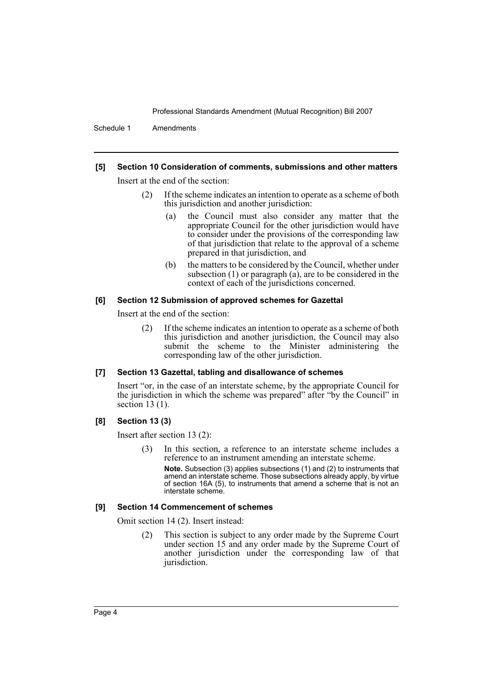Schedule 1 Amendments

#### **[5] Section 10 Consideration of comments, submissions and other matters**

Insert at the end of the section:

- (2) If the scheme indicates an intention to operate as a scheme of both this jurisdiction and another jurisdiction:
	- (a) the Council must also consider any matter that the appropriate Council for the other jurisdiction would have to consider under the provisions of the corresponding law of that jurisdiction that relate to the approval of a scheme prepared in that jurisdiction, and
	- (b) the matters to be considered by the Council, whether under subsection (1) or paragraph (a), are to be considered in the context of each of the jurisdictions concerned.

#### **[6] Section 12 Submission of approved schemes for Gazettal**

Insert at the end of the section:

(2) If the scheme indicates an intention to operate as a scheme of both this jurisdiction and another jurisdiction, the Council may also submit the scheme to the Minister administering the corresponding law of the other jurisdiction.

#### **[7] Section 13 Gazettal, tabling and disallowance of schemes**

Insert "or, in the case of an interstate scheme, by the appropriate Council for the jurisdiction in which the scheme was prepared" after "by the Council" in section 13 (1).

#### **[8] Section 13 (3)**

Insert after section 13 (2):

(3) In this section, a reference to an interstate scheme includes a reference to an instrument amending an interstate scheme.

**Note.** Subsection (3) applies subsections (1) and (2) to instruments that amend an interstate scheme. Those subsections already apply, by virtue of section 16A (5), to instruments that amend a scheme that is not an interstate scheme.

#### **[9] Section 14 Commencement of schemes**

Omit section 14 (2). Insert instead:

(2) This section is subject to any order made by the Supreme Court under section 15 and any order made by the Supreme Court of another jurisdiction under the corresponding law of that jurisdiction.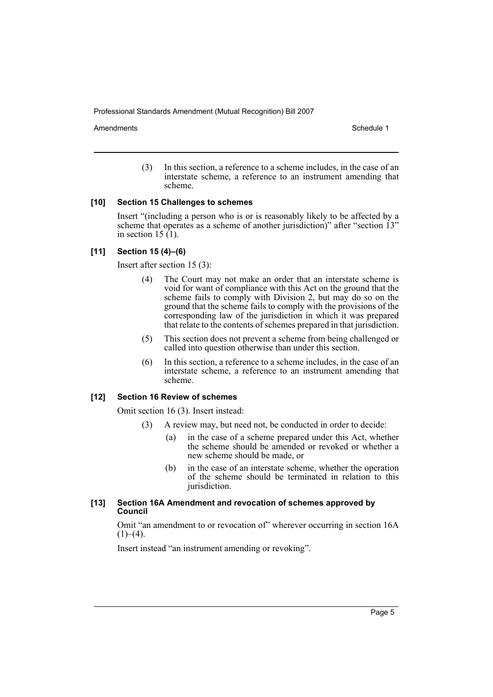Amendments **Amendments** Schedule 1

(3) In this section, a reference to a scheme includes, in the case of an interstate scheme, a reference to an instrument amending that scheme.

#### **[10] Section 15 Challenges to schemes**

Insert "(including a person who is or is reasonably likely to be affected by a scheme that operates as a scheme of another jurisdiction)" after "section 13" in section 15  $(1)$ .

#### **[11] Section 15 (4)–(6)**

Insert after section 15 (3):

- (4) The Court may not make an order that an interstate scheme is void for want of compliance with this Act on the ground that the scheme fails to comply with Division 2, but may do so on the ground that the scheme fails to comply with the provisions of the corresponding law of the jurisdiction in which it was prepared that relate to the contents of schemes prepared in that jurisdiction.
- (5) This section does not prevent a scheme from being challenged or called into question otherwise than under this section.
- (6) In this section, a reference to a scheme includes, in the case of an interstate scheme, a reference to an instrument amending that scheme.

#### **[12] Section 16 Review of schemes**

Omit section 16 (3). Insert instead:

- (3) A review may, but need not, be conducted in order to decide:
	- (a) in the case of a scheme prepared under this Act, whether the scheme should be amended or revoked or whether a new scheme should be made, or
	- (b) in the case of an interstate scheme, whether the operation of the scheme should be terminated in relation to this jurisdiction.

#### **[13] Section 16A Amendment and revocation of schemes approved by Council**

Omit "an amendment to or revocation of" wherever occurring in section 16A  $(1)–(4)$ .

Insert instead "an instrument amending or revoking".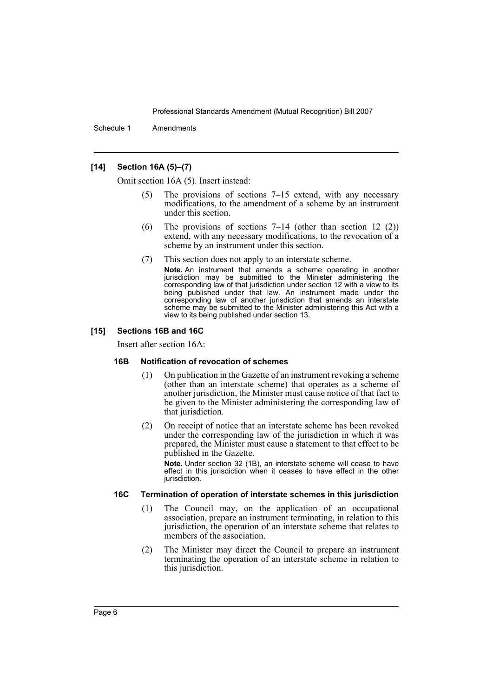Schedule 1 Amendments

#### **[14] Section 16A (5)–(7)**

Omit section 16A (5). Insert instead:

- The provisions of sections  $7-15$  extend, with any necessary modifications, to the amendment of a scheme by an instrument under this section.
- (6) The provisions of sections 7–14 (other than section 12 (2)) extend, with any necessary modifications, to the revocation of a scheme by an instrument under this section.
- (7) This section does not apply to an interstate scheme.
	- **Note.** An instrument that amends a scheme operating in another jurisdiction may be submitted to the Minister administering the corresponding law of that jurisdiction under section 12 with a view to its being published under that law. An instrument made under the corresponding law of another jurisdiction that amends an interstate scheme may be submitted to the Minister administering this Act with a view to its being published under section 13.

#### **[15] Sections 16B and 16C**

Insert after section 16A:

#### **16B Notification of revocation of schemes**

- (1) On publication in the Gazette of an instrument revoking a scheme (other than an interstate scheme) that operates as a scheme of another jurisdiction, the Minister must cause notice of that fact to be given to the Minister administering the corresponding law of that jurisdiction.
- (2) On receipt of notice that an interstate scheme has been revoked under the corresponding law of the jurisdiction in which it was prepared, the Minister must cause a statement to that effect to be published in the Gazette.

**Note.** Under section 32 (1B), an interstate scheme will cease to have effect in this jurisdiction when it ceases to have effect in the other jurisdiction.

#### **16C Termination of operation of interstate schemes in this jurisdiction**

- (1) The Council may, on the application of an occupational association, prepare an instrument terminating, in relation to this jurisdiction, the operation of an interstate scheme that relates to members of the association.
- (2) The Minister may direct the Council to prepare an instrument terminating the operation of an interstate scheme in relation to this jurisdiction.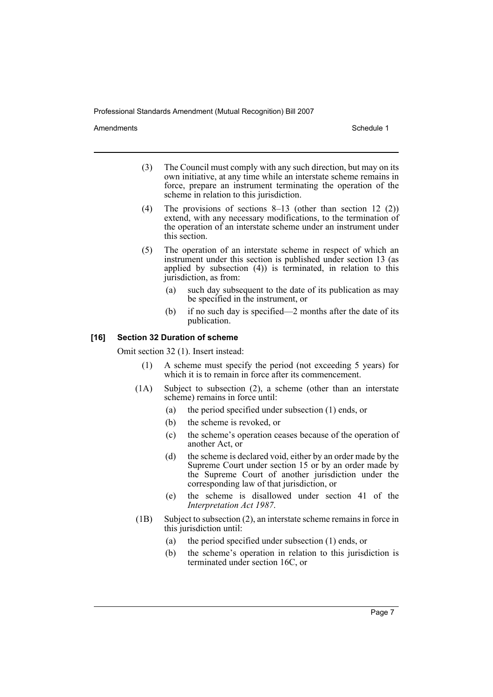Amendments **Amendments** Schedule 1

- (3) The Council must comply with any such direction, but may on its own initiative, at any time while an interstate scheme remains in force, prepare an instrument terminating the operation of the scheme in relation to this jurisdiction.
- (4) The provisions of sections 8–13 (other than section 12 (2)) extend, with any necessary modifications, to the termination of the operation of an interstate scheme under an instrument under this section.
- (5) The operation of an interstate scheme in respect of which an instrument under this section is published under section 13 (as applied by subsection (4)) is terminated, in relation to this jurisdiction, as from:
	- (a) such day subsequent to the date of its publication as may be specified in the instrument, or
	- (b) if no such day is specified—2 months after the date of its publication.

#### **[16] Section 32 Duration of scheme**

Omit section 32 (1). Insert instead:

- (1) A scheme must specify the period (not exceeding 5 years) for which it is to remain in force after its commencement.
- (1A) Subject to subsection (2), a scheme (other than an interstate scheme) remains in force until:
	- (a) the period specified under subsection (1) ends, or
	- (b) the scheme is revoked, or
	- (c) the scheme's operation ceases because of the operation of another Act, or
	- (d) the scheme is declared void, either by an order made by the Supreme Court under section 15 or by an order made by the Supreme Court of another jurisdiction under the corresponding law of that jurisdiction, or
	- (e) the scheme is disallowed under section 41 of the *Interpretation Act 1987*.
- (1B) Subject to subsection (2), an interstate scheme remains in force in this jurisdiction until:
	- (a) the period specified under subsection (1) ends, or
	- (b) the scheme's operation in relation to this jurisdiction is terminated under section 16C, or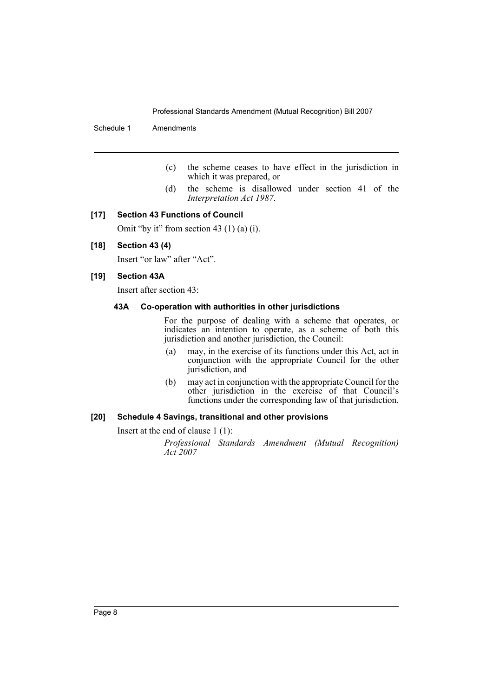Schedule 1 Amendments

- (c) the scheme ceases to have effect in the jurisdiction in which it was prepared, or
- (d) the scheme is disallowed under section 41 of the *Interpretation Act 1987*.

#### **[17] Section 43 Functions of Council**

Omit "by it" from section 43 (1) (a) (i).

#### **[18] Section 43 (4)**

Insert "or law" after "Act".

#### **[19] Section 43A**

Insert after section 43:

#### **43A Co-operation with authorities in other jurisdictions**

For the purpose of dealing with a scheme that operates, or indicates an intention to operate, as a scheme of both this jurisdiction and another jurisdiction, the Council:

- (a) may, in the exercise of its functions under this Act, act in conjunction with the appropriate Council for the other jurisdiction, and
- (b) may act in conjunction with the appropriate Council for the other jurisdiction in the exercise of that Council's functions under the corresponding law of that jurisdiction.

#### **[20] Schedule 4 Savings, transitional and other provisions**

Insert at the end of clause 1 (1):

*Professional Standards Amendment (Mutual Recognition) Act 2007*